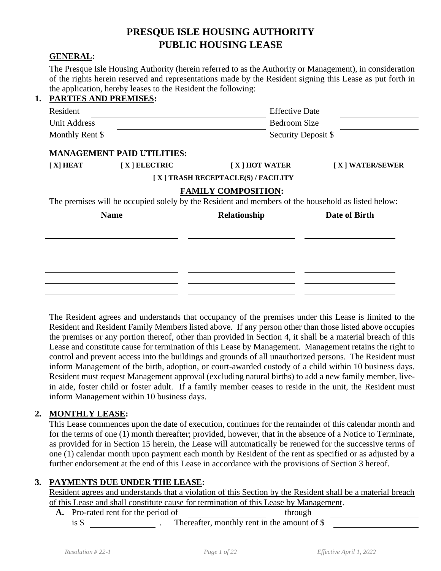# **PRESQUE ISLE HOUSING AUTHORITY PUBLIC HOUSING LEASE**

#### **GENERAL:**

The Presque Isle Housing Authority (herein referred to as the Authority or Management), in consideration of the rights herein reserved and representations made by the Resident signing this Lease as put forth in the application, hereby leases to the Resident the following:

| <b>PARTIES AND PREMISES:</b> |                                   |                                                                                                    |                       |  |
|------------------------------|-----------------------------------|----------------------------------------------------------------------------------------------------|-----------------------|--|
| Resident                     |                                   |                                                                                                    | <b>Effective Date</b> |  |
| <b>Unit Address</b>          |                                   |                                                                                                    | Bedroom Size          |  |
| Monthly Rent \$              |                                   | Security Deposit \$                                                                                |                       |  |
|                              | <b>MANAGEMENT PAID UTILITIES:</b> |                                                                                                    |                       |  |
| $[X]$ HEAT                   | $[X]$ ELECTRIC                    | $[X]$ HOT WATER                                                                                    | [X] WATER/SEWER       |  |
|                              |                                   | [X] TRASH RECEPTACLE(S) / FACILITY                                                                 |                       |  |
|                              |                                   | <b>FAMILY COMPOSITION:</b>                                                                         |                       |  |
|                              |                                   | The premises will be occupied solely by the Resident and members of the household as listed below: |                       |  |
| <b>Name</b>                  |                                   | Relationship                                                                                       | Date of Birth         |  |
|                              |                                   |                                                                                                    |                       |  |
|                              |                                   |                                                                                                    |                       |  |
|                              |                                   |                                                                                                    |                       |  |
|                              |                                   |                                                                                                    |                       |  |

The Resident agrees and understands that occupancy of the premises under this Lease is limited to the Resident and Resident Family Members listed above. If any person other than those listed above occupies the premises or any portion thereof, other than provided in Section 4, it shall be a material breach of this Lease and constitute cause for termination of this Lease by Management. Management retains the right to control and prevent access into the buildings and grounds of all unauthorized persons. The Resident must inform Management of the birth, adoption, or court-awarded custody of a child within 10 business days. Resident must request Management approval (excluding natural births) to add a new family member, livein aide, foster child or foster adult. If a family member ceases to reside in the unit, the Resident must inform Management within 10 business days.

#### **2. MONTHLY LEASE:**

This Lease commences upon the date of execution, continues for the remainder of this calendar month and for the terms of one (1) month thereafter; provided, however, that in the absence of a Notice to Terminate, as provided for in Section 15 herein, the Lease will automatically be renewed for the successive terms of one (1) calendar month upon payment each month by Resident of the rent as specified or as adjusted by a further endorsement at the end of this Lease in accordance with the provisions of Section 3 hereof.

### **3. PAYMENTS DUE UNDER THE LEASE:**

Resident agrees and understands that a violation of this Section by the Resident shall be a material breach of this Lease and shall constitute cause for termination of this Lease by Management.

A. Pro-rated rent for the period of through is \$ . Thereafter, monthly rent in the amount of \$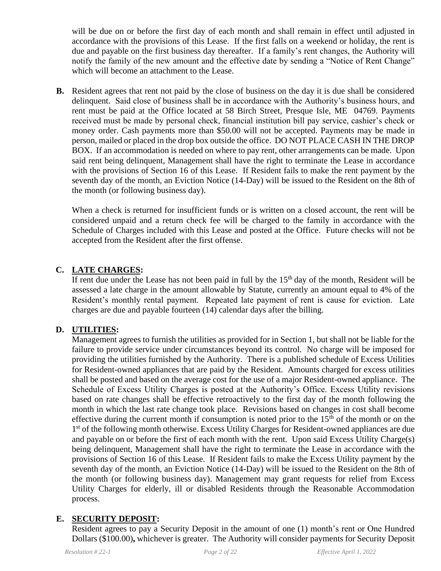will be due on or before the first day of each month and shall remain in effect until adjusted in accordance with the provisions of this Lease. If the first falls on a weekend or holiday, the rent is due and payable on the first business day thereafter. If a family's rent changes, the Authority will notify the family of the new amount and the effective date by sending a "Notice of Rent Change" which will become an attachment to the Lease.

**B.** Resident agrees that rent not paid by the close of business on the day it is due shall be considered delinquent. Said close of business shall be in accordance with the Authority's business hours, and rent must be paid at the Office located at 58 Birch Street, Presque Isle, ME 04769. Payments received must be made by personal check, financial institution bill pay service, cashier's check or money order. Cash payments more than \$50.00 will not be accepted. Payments may be made in person, mailed or placed in the drop box outside the office. DO NOT PLACE CASH IN THE DROP BOX. If an accommodation is needed on where to pay rent, other arrangements can be made. Upon said rent being delinquent, Management shall have the right to terminate the Lease in accordance with the provisions of Section 16 of this Lease. If Resident fails to make the rent payment by the seventh day of the month, an Eviction Notice (14-Day) will be issued to the Resident on the 8th of the month (or following business day).

When a check is returned for insufficient funds or is written on a closed account, the rent will be considered unpaid and a return check fee will be charged to the family in accordance with the Schedule of Charges included with this Lease and posted at the Office. Future checks will not be accepted from the Resident after the first offense.

## **C. LATE CHARGES:**

If rent due under the Lease has not been paid in full by the  $15<sup>th</sup>$  day of the month, Resident will be assessed a late charge in the amount allowable by Statute, currently an amount equal to 4% of the Resident's monthly rental payment. Repeated late payment of rent is cause for eviction. Late charges are due and payable fourteen (14) calendar days after the billing.

### **D. UTILITIES:**

Management agrees to furnish the utilities as provided for in Section 1, but shall not be liable for the failure to provide service under circumstances beyond its control. No charge will be imposed for providing the utilities furnished by the Authority. There is a published schedule of Excess Utilities for Resident-owned appliances that are paid by the Resident. Amounts charged for excess utilities shall be posted and based on the average cost for the use of a major Resident-owned appliance. The Schedule of Excess Utility Charges is posted at the Authority's Office. Excess Utility revisions based on rate changes shall be effective retroactively to the first day of the month following the month in which the last rate change took place. Revisions based on changes in cost shall become effective during the current month if consumption is noted prior to the  $15<sup>th</sup>$  of the month or on the 1<sup>st</sup> of the following month otherwise. Excess Utility Charges for Resident-owned appliances are due and payable on or before the first of each month with the rent. Upon said Excess Utility Charge(s) being delinquent, Management shall have the right to terminate the Lease in accordance with the provisions of Section 16 of this Lease. If Resident fails to make the Excess Utility payment by the seventh day of the month, an Eviction Notice (14-Day) will be issued to the Resident on the 8th of the month (or following business day). Management may grant requests for relief from Excess Utility Charges for elderly, ill or disabled Residents through the Reasonable Accommodation process.

### **E. SECURITY DEPOSIT:**

Resident agrees to pay a Security Deposit in the amount of one (1) month's rent or One Hundred Dollars (\$100.00)**,** whichever is greater. The Authority will consider payments for Security Deposit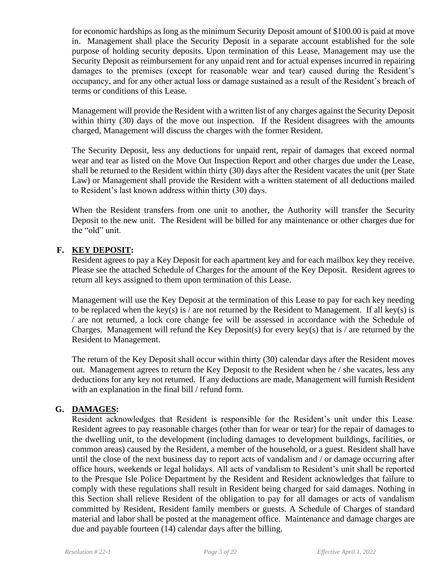for economic hardships as long as the minimum Security Deposit amount of \$100.00 is paid at move in. Management shall place the Security Deposit in a separate account established for the sole purpose of holding security deposits. Upon termination of this Lease, Management may use the Security Deposit as reimbursement for any unpaid rent and for actual expenses incurred in repairing damages to the premises (except for reasonable wear and tear) caused during the Resident's occupancy, and for any other actual loss or damage sustained as a result of the Resident's breach of terms or conditions of this Lease.

Management will provide the Resident with a written list of any charges against the Security Deposit within thirty (30) days of the move out inspection. If the Resident disagrees with the amounts charged, Management will discuss the charges with the former Resident.

The Security Deposit, less any deductions for unpaid rent, repair of damages that exceed normal wear and tear as listed on the Move Out Inspection Report and other charges due under the Lease, shall be returned to the Resident within thirty (30) days after the Resident vacates the unit (per State Law) or Management shall provide the Resident with a written statement of all deductions mailed to Resident's last known address within thirty (30) days.

When the Resident transfers from one unit to another, the Authority will transfer the Security Deposit to the new unit. The Resident will be billed for any maintenance or other charges due for the "old" unit.

### **F. KEY DEPOSIT:**

Resident agrees to pay a Key Deposit for each apartment key and for each mailbox key they receive. Please see the attached Schedule of Charges for the amount of the Key Deposit. Resident agrees to return all keys assigned to them upon termination of this Lease.

Management will use the Key Deposit at the termination of this Lease to pay for each key needing to be replaced when the key(s) is / are not returned by the Resident to Management. If all key(s) is / are not returned, a lock core change fee will be assessed in accordance with the Schedule of Charges. Management will refund the Key Deposit(s) for every key(s) that is / are returned by the Resident to Management.

The return of the Key Deposit shall occur within thirty (30) calendar days after the Resident moves out. Management agrees to return the Key Deposit to the Resident when he / she vacates, less any deductions for any key not returned. If any deductions are made, Management will furnish Resident with an explanation in the final bill / refund form.

### **G. DAMAGES:**

Resident acknowledges that Resident is responsible for the Resident's unit under this Lease. Resident agrees to pay reasonable charges (other than for wear or tear) for the repair of damages to the dwelling unit, to the development (including damages to development buildings, facilities, or common areas) caused by the Resident, a member of the household, or a guest. Resident shall have until the close of the next business day to report acts of vandalism and / or damage occurring after office hours, weekends or legal holidays. All acts of vandalism to Resident's unit shall be reported to the Presque Isle Police Department by the Resident and Resident acknowledges that failure to comply with these regulations shall result in Resident being charged for said damages. Nothing in this Section shall relieve Resident of the obligation to pay for all damages or acts of vandalism committed by Resident, Resident family members or guests. A Schedule of Charges of standard material and labor shall be posted at the management office. Maintenance and damage charges are due and payable fourteen (14) calendar days after the billing.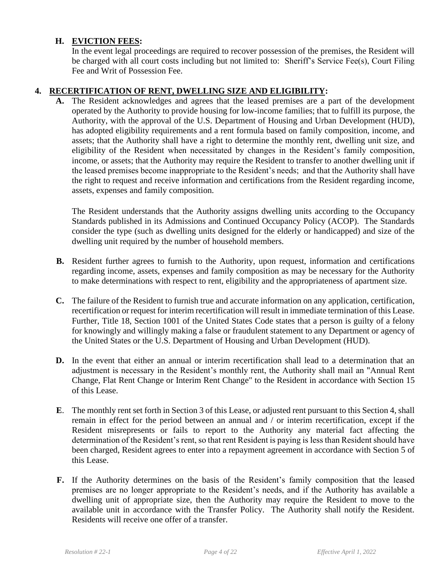### **H. EVICTION FEES:**

In the event legal proceedings are required to recover possession of the premises, the Resident will be charged with all court costs including but not limited to: Sheriff's Service Fee(s), Court Filing Fee and Writ of Possession Fee.

#### **4. RECERTIFICATION OF RENT, DWELLING SIZE AND ELIGIBILITY:**

**A.** The Resident acknowledges and agrees that the leased premises are a part of the development operated by the Authority to provide housing for low-income families; that to fulfill its purpose, the Authority, with the approval of the U.S. Department of Housing and Urban Development (HUD), has adopted eligibility requirements and a rent formula based on family composition, income, and assets; that the Authority shall have a right to determine the monthly rent, dwelling unit size, and eligibility of the Resident when necessitated by changes in the Resident's family composition, income, or assets; that the Authority may require the Resident to transfer to another dwelling unit if the leased premises become inappropriate to the Resident's needs; and that the Authority shall have the right to request and receive information and certifications from the Resident regarding income, assets, expenses and family composition.

The Resident understands that the Authority assigns dwelling units according to the Occupancy Standards published in its Admissions and Continued Occupancy Policy (ACOP). The Standards consider the type (such as dwelling units designed for the elderly or handicapped) and size of the dwelling unit required by the number of household members.

- **B.** Resident further agrees to furnish to the Authority, upon request, information and certifications regarding income, assets, expenses and family composition as may be necessary for the Authority to make determinations with respect to rent, eligibility and the appropriateness of apartment size.
- **C.** The failure of the Resident to furnish true and accurate information on any application, certification, recertification or request for interim recertification will result in immediate termination of this Lease. Further, Title 18, Section 1001 of the United States Code states that a person is guilty of a felony for knowingly and willingly making a false or fraudulent statement to any Department or agency of the United States or the U.S. Department of Housing and Urban Development (HUD).
- **D.** In the event that either an annual or interim recertification shall lead to a determination that an adjustment is necessary in the Resident's monthly rent, the Authority shall mail an "Annual Rent Change, Flat Rent Change or Interim Rent Change" to the Resident in accordance with Section 15 of this Lease.
- **E**. The monthly rent set forth in Section 3 of this Lease, or adjusted rent pursuant to this Section 4, shall remain in effect for the period between an annual and / or interim recertification, except if the Resident misrepresents or fails to report to the Authority any material fact affecting the determination of the Resident's rent, so that rent Resident is paying is less than Resident should have been charged, Resident agrees to enter into a repayment agreement in accordance with Section 5 of this Lease.
- **F.** If the Authority determines on the basis of the Resident's family composition that the leased premises are no longer appropriate to the Resident's needs, and if the Authority has available a dwelling unit of appropriate size, then the Authority may require the Resident to move to the available unit in accordance with the Transfer Policy. The Authority shall notify the Resident. Residents will receive one offer of a transfer.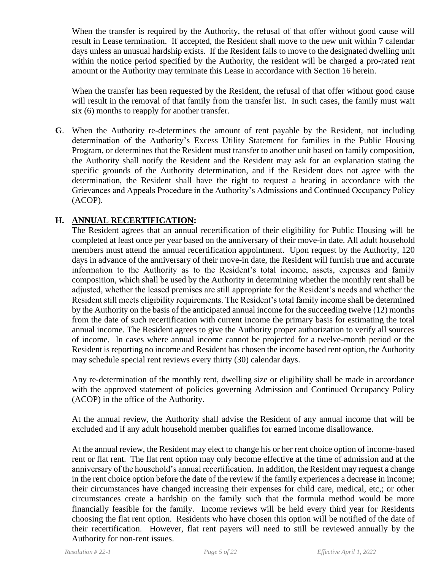When the transfer is required by the Authority, the refusal of that offer without good cause will result in Lease termination. If accepted, the Resident shall move to the new unit within 7 calendar days unless an unusual hardship exists. If the Resident fails to move to the designated dwelling unit within the notice period specified by the Authority, the resident will be charged a pro-rated rent amount or the Authority may terminate this Lease in accordance with Section 16 herein.

When the transfer has been requested by the Resident, the refusal of that offer without good cause will result in the removal of that family from the transfer list. In such cases, the family must wait six (6) months to reapply for another transfer.

**G**. When the Authority re-determines the amount of rent payable by the Resident, not including determination of the Authority's Excess Utility Statement for families in the Public Housing Program, or determines that the Resident must transfer to another unit based on family composition, the Authority shall notify the Resident and the Resident may ask for an explanation stating the specific grounds of the Authority determination, and if the Resident does not agree with the determination, the Resident shall have the right to request a hearing in accordance with the Grievances and Appeals Procedure in the Authority's Admissions and Continued Occupancy Policy (ACOP).

### **H. ANNUAL RECERTIFICATION:**

The Resident agrees that an annual recertification of their eligibility for Public Housing will be completed at least once per year based on the anniversary of their move-in date. All adult household members must attend the annual recertification appointment. Upon request by the Authority, 120 days in advance of the anniversary of their move-in date, the Resident will furnish true and accurate information to the Authority as to the Resident's total income, assets, expenses and family composition, which shall be used by the Authority in determining whether the monthly rent shall be adjusted, whether the leased premises are still appropriate for the Resident's needs and whether the Resident still meets eligibility requirements. The Resident's total family income shall be determined by the Authority on the basis of the anticipated annual income for the succeeding twelve (12) months from the date of such recertification with current income the primary basis for estimating the total annual income. The Resident agrees to give the Authority proper authorization to verify all sources of income. In cases where annual income cannot be projected for a twelve-month period or the Resident is reporting no income and Resident has chosen the income based rent option, the Authority may schedule special rent reviews every thirty (30) calendar days.

Any re-determination of the monthly rent, dwelling size or eligibility shall be made in accordance with the approved statement of policies governing Admission and Continued Occupancy Policy (ACOP) in the office of the Authority.

At the annual review, the Authority shall advise the Resident of any annual income that will be excluded and if any adult household member qualifies for earned income disallowance.

At the annual review, the Resident may elect to change his or her rent choice option of income-based rent or flat rent. The flat rent option may only become effective at the time of admission and at the anniversary of the household's annual recertification. In addition, the Resident may request a change in the rent choice option before the date of the review if the family experiences a decrease in income; their circumstances have changed increasing their expenses for child care, medical, etc,; or other circumstances create a hardship on the family such that the formula method would be more financially feasible for the family. Income reviews will be held every third year for Residents choosing the flat rent option. Residents who have chosen this option will be notified of the date of their recertification. However, flat rent payers will need to still be reviewed annually by the Authority for non-rent issues.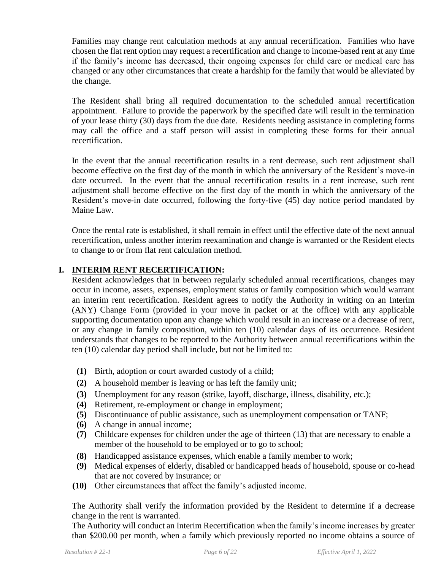Families may change rent calculation methods at any annual recertification. Families who have chosen the flat rent option may request a recertification and change to income-based rent at any time if the family's income has decreased, their ongoing expenses for child care or medical care has changed or any other circumstances that create a hardship for the family that would be alleviated by the change.

The Resident shall bring all required documentation to the scheduled annual recertification appointment. Failure to provide the paperwork by the specified date will result in the termination of your lease thirty (30) days from the due date. Residents needing assistance in completing forms may call the office and a staff person will assist in completing these forms for their annual recertification.

In the event that the annual recertification results in a rent decrease, such rent adjustment shall become effective on the first day of the month in which the anniversary of the Resident's move-in date occurred. In the event that the annual recertification results in a rent increase, such rent adjustment shall become effective on the first day of the month in which the anniversary of the Resident's move-in date occurred, following the forty-five (45) day notice period mandated by Maine Law.

Once the rental rate is established, it shall remain in effect until the effective date of the next annual recertification, unless another interim reexamination and change is warranted or the Resident elects to change to or from flat rent calculation method.

### **I. INTERIM RENT RECERTIFICATION:**

Resident acknowledges that in between regularly scheduled annual recertifications, changes may occur in income, assets, expenses, employment status or family composition which would warrant an interim rent recertification. Resident agrees to notify the Authority in writing on an Interim (ANY) Change Form (provided in your move in packet or at the office) with any applicable supporting documentation upon any change which would result in an increase or a decrease of rent, or any change in family composition, within ten (10) calendar days of its occurrence. Resident understands that changes to be reported to the Authority between annual recertifications within the ten (10) calendar day period shall include, but not be limited to:

- **(1)** Birth, adoption or court awarded custody of a child;
- **(2)** A household member is leaving or has left the family unit;
- **(3)** Unemployment for any reason (strike, layoff, discharge, illness, disability, etc.);
- **(4)** Retirement, re-employment or change in employment;
- **(5)** Discontinuance of public assistance, such as unemployment compensation or TANF;
- **(6)** A change in annual income;
- **(7)** Childcare expenses for children under the age of thirteen (13) that are necessary to enable a member of the household to be employed or to go to school;
- **(8)** Handicapped assistance expenses, which enable a family member to work;
- **(9)** Medical expenses of elderly, disabled or handicapped heads of household, spouse or co-head that are not covered by insurance; or
- **(10)** Other circumstances that affect the family's adjusted income.

The Authority shall verify the information provided by the Resident to determine if a decrease change in the rent is warranted.

The Authority will conduct an Interim Recertification when the family's income increases by greater than \$200.00 per month, when a family which previously reported no income obtains a source of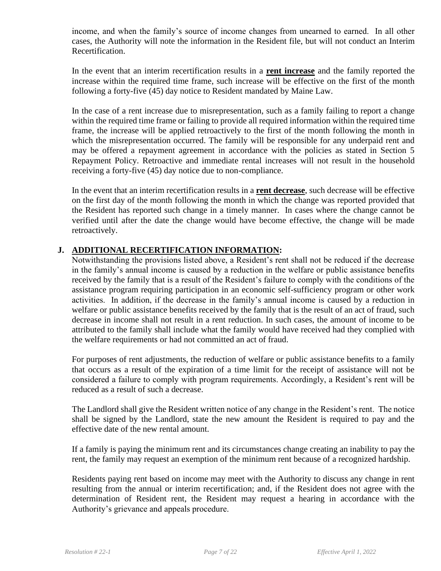income, and when the family's source of income changes from unearned to earned. In all other cases, the Authority will note the information in the Resident file, but will not conduct an Interim Recertification.

In the event that an interim recertification results in a **rent increase** and the family reported the increase within the required time frame, such increase will be effective on the first of the month following a forty-five (45) day notice to Resident mandated by Maine Law.

In the case of a rent increase due to misrepresentation, such as a family failing to report a change within the required time frame or failing to provide all required information within the required time frame, the increase will be applied retroactively to the first of the month following the month in which the misrepresentation occurred. The family will be responsible for any underpaid rent and may be offered a repayment agreement in accordance with the policies as stated in Section 5 Repayment Policy. Retroactive and immediate rental increases will not result in the household receiving a forty-five (45) day notice due to non-compliance.

In the event that an interim recertification results in a **rent decrease**, such decrease will be effective on the first day of the month following the month in which the change was reported provided that the Resident has reported such change in a timely manner. In cases where the change cannot be verified until after the date the change would have become effective, the change will be made retroactively.

### **J. ADDITIONAL RECERTIFICATION INFORMATION:**

Notwithstanding the provisions listed above, a Resident's rent shall not be reduced if the decrease in the family's annual income is caused by a reduction in the welfare or public assistance benefits received by the family that is a result of the Resident's failure to comply with the conditions of the assistance program requiring participation in an economic self-sufficiency program or other work activities. In addition, if the decrease in the family's annual income is caused by a reduction in welfare or public assistance benefits received by the family that is the result of an act of fraud, such decrease in income shall not result in a rent reduction. In such cases, the amount of income to be attributed to the family shall include what the family would have received had they complied with the welfare requirements or had not committed an act of fraud.

For purposes of rent adjustments, the reduction of welfare or public assistance benefits to a family that occurs as a result of the expiration of a time limit for the receipt of assistance will not be considered a failure to comply with program requirements. Accordingly, a Resident's rent will be reduced as a result of such a decrease.

The Landlord shall give the Resident written notice of any change in the Resident's rent. The notice shall be signed by the Landlord, state the new amount the Resident is required to pay and the effective date of the new rental amount.

If a family is paying the minimum rent and its circumstances change creating an inability to pay the rent, the family may request an exemption of the minimum rent because of a recognized hardship.

Residents paying rent based on income may meet with the Authority to discuss any change in rent resulting from the annual or interim recertification; and, if the Resident does not agree with the determination of Resident rent, the Resident may request a hearing in accordance with the Authority's grievance and appeals procedure.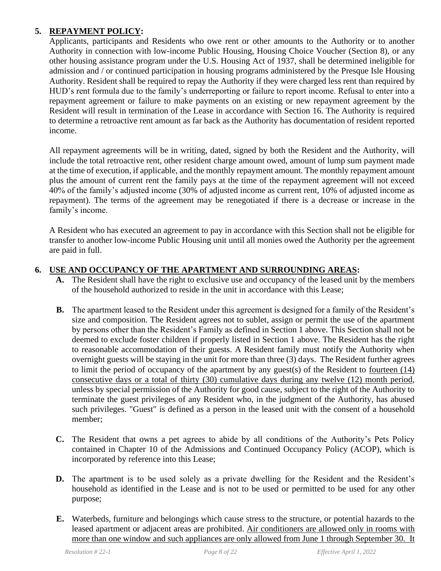## **5. REPAYMENT POLICY:**

Applicants, participants and Residents who owe rent or other amounts to the Authority or to another Authority in connection with low-income Public Housing, Housing Choice Voucher (Section 8), or any other housing assistance program under the U.S. Housing Act of 1937, shall be determined ineligible for admission and / or continued participation in housing programs administered by the Presque Isle Housing Authority. Resident shall be required to repay the Authority if they were charged less rent than required by HUD's rent formula due to the family's underreporting or failure to report income. Refusal to enter into a repayment agreement or failure to make payments on an existing or new repayment agreement by the Resident will result in termination of the Lease in accordance with Section 16. The Authority is required to determine a retroactive rent amount as far back as the Authority has documentation of resident reported income.

All repayment agreements will be in writing, dated, signed by both the Resident and the Authority, will include the total retroactive rent, other resident charge amount owed, amount of lump sum payment made at the time of execution, if applicable, and the monthly repayment amount. The monthly repayment amount plus the amount of current rent the family pays at the time of the repayment agreement will not exceed 40% of the family's adjusted income (30% of adjusted income as current rent, 10% of adjusted income as repayment). The terms of the agreement may be renegotiated if there is a decrease or increase in the family's income.

A Resident who has executed an agreement to pay in accordance with this Section shall not be eligible for transfer to another low-income Public Housing unit until all monies owed the Authority per the agreement are paid in full.

## **6. USE AND OCCUPANCY OF THE APARTMENT AND SURROUNDING AREAS:**

- **A.** The Resident shall have the right to exclusive use and occupancy of the leased unit by the members of the household authorized to reside in the unit in accordance with this Lease;
- **B.** The apartment leased to the Resident under this agreement is designed for a family of the Resident's size and composition. The Resident agrees not to sublet, assign or permit the use of the apartment by persons other than the Resident's Family as defined in Section 1 above. This Section shall not be deemed to exclude foster children if properly listed in Section 1 above. The Resident has the right to reasonable accommodation of their guests. A Resident family must notify the Authority when overnight guests will be staying in the unit for more than three (3) days. The Resident further agrees to limit the period of occupancy of the apartment by any guest(s) of the Resident to fourteen (14) consecutive days or a total of thirty (30) cumulative days during any twelve (12) month period, unless by special permission of the Authority for good cause, subject to the right of the Authority to terminate the guest privileges of any Resident who, in the judgment of the Authority, has abused such privileges. "Guest" is defined as a person in the leased unit with the consent of a household member;
- **C.** The Resident that owns a pet agrees to abide by all conditions of the Authority's Pets Policy contained in Chapter 10 of the Admissions and Continued Occupancy Policy (ACOP), which is incorporated by reference into this Lease;
- **D.** The apartment is to be used solely as a private dwelling for the Resident and the Resident's household as identified in the Lease and is not to be used or permitted to be used for any other purpose;
- **E.** Waterbeds, furniture and belongings which cause stress to the structure, or potential hazards to the leased apartment or adjacent areas are prohibited. Air conditioners are allowed only in rooms with more than one window and such appliances are only allowed from June 1 through September 30. It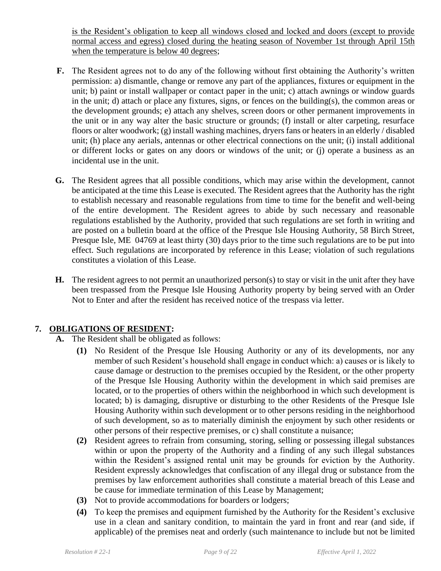is the Resident's obligation to keep all windows closed and locked and doors (except to provide normal access and egress) closed during the heating season of November 1st through April 15th when the temperature is below 40 degrees;

- **F.** The Resident agrees not to do any of the following without first obtaining the Authority's written permission: a) dismantle, change or remove any part of the appliances, fixtures or equipment in the unit; b) paint or install wallpaper or contact paper in the unit; c) attach awnings or window guards in the unit; d) attach or place any fixtures, signs, or fences on the building(s), the common areas or the development grounds; e) attach any shelves, screen doors or other permanent improvements in the unit or in any way alter the basic structure or grounds; (f) install or alter carpeting, resurface floors or alter woodwork; (g) install washing machines, dryers fans or heaters in an elderly / disabled unit; (h) place any aerials, antennas or other electrical connections on the unit; (i) install additional or different locks or gates on any doors or windows of the unit; or (j) operate a business as an incidental use in the unit.
- **G.** The Resident agrees that all possible conditions, which may arise within the development, cannot be anticipated at the time this Lease is executed. The Resident agrees that the Authority has the right to establish necessary and reasonable regulations from time to time for the benefit and well-being of the entire development. The Resident agrees to abide by such necessary and reasonable regulations established by the Authority, provided that such regulations are set forth in writing and are posted on a bulletin board at the office of the Presque Isle Housing Authority, 58 Birch Street, Presque Isle, ME 04769 at least thirty (30) days prior to the time such regulations are to be put into effect. Such regulations are incorporated by reference in this Lease; violation of such regulations constitutes a violation of this Lease.
- **H.** The resident agrees to not permit an unauthorized person(s) to stay or visit in the unit after they have been trespassed from the Presque Isle Housing Authority property by being served with an Order Not to Enter and after the resident has received notice of the trespass via letter.

### **7. OBLIGATIONS OF RESIDENT:**

- **A.** The Resident shall be obligated as follows:
	- **(1)** No Resident of the Presque Isle Housing Authority or any of its developments, nor any member of such Resident's household shall engage in conduct which: a) causes or is likely to cause damage or destruction to the premises occupied by the Resident, or the other property of the Presque Isle Housing Authority within the development in which said premises are located, or to the properties of others within the neighborhood in which such development is located; b) is damaging, disruptive or disturbing to the other Residents of the Presque Isle Housing Authority within such development or to other persons residing in the neighborhood of such development, so as to materially diminish the enjoyment by such other residents or other persons of their respective premises, or c) shall constitute a nuisance;
	- **(2)** Resident agrees to refrain from consuming, storing, selling or possessing illegal substances within or upon the property of the Authority and a finding of any such illegal substances within the Resident's assigned rental unit may be grounds for eviction by the Authority. Resident expressly acknowledges that confiscation of any illegal drug or substance from the premises by law enforcement authorities shall constitute a material breach of this Lease and be cause for immediate termination of this Lease by Management;
	- **(3)** Not to provide accommodations for boarders or lodgers;
	- **(4)** To keep the premises and equipment furnished by the Authority for the Resident's exclusive use in a clean and sanitary condition, to maintain the yard in front and rear (and side, if applicable) of the premises neat and orderly (such maintenance to include but not be limited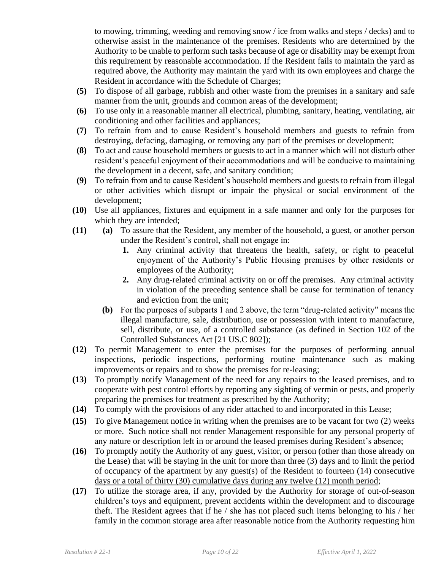to mowing, trimming, weeding and removing snow / ice from walks and steps / decks) and to otherwise assist in the maintenance of the premises. Residents who are determined by the Authority to be unable to perform such tasks because of age or disability may be exempt from this requirement by reasonable accommodation. If the Resident fails to maintain the yard as required above, the Authority may maintain the yard with its own employees and charge the Resident in accordance with the Schedule of Charges;

- **(5)** To dispose of all garbage, rubbish and other waste from the premises in a sanitary and safe manner from the unit, grounds and common areas of the development;
- **(6)** To use only in a reasonable manner all electrical, plumbing, sanitary, heating, ventilating, air conditioning and other facilities and appliances;
- **(7)** To refrain from and to cause Resident's household members and guests to refrain from destroying, defacing, damaging, or removing any part of the premises or development;
- **(8)** To act and cause household members or guests to act in a manner which will not disturb other resident's peaceful enjoyment of their accommodations and will be conducive to maintaining the development in a decent, safe, and sanitary condition;
- **(9)** To refrain from and to cause Resident's household members and guests to refrain from illegal or other activities which disrupt or impair the physical or social environment of the development;
- **(10)** Use all appliances, fixtures and equipment in a safe manner and only for the purposes for which they are intended;
- **(11) (a)** To assure that the Resident, any member of the household, a guest, or another person under the Resident's control, shall not engage in:
	- **1.** Any criminal activity that threatens the health, safety, or right to peaceful enjoyment of the Authority's Public Housing premises by other residents or employees of the Authority;
	- **2.** Any drug-related criminal activity on or off the premises. Any criminal activity in violation of the preceding sentence shall be cause for termination of tenancy and eviction from the unit;
	- **(b)** For the purposes of subparts 1 and 2 above, the term "drug-related activity" means the illegal manufacture, sale, distribution, use or possession with intent to manufacture, sell, distribute, or use, of a controlled substance (as defined in Section 102 of the Controlled Substances Act [21 US.C 802]);
- **(12)** To permit Management to enter the premises for the purposes of performing annual inspections, periodic inspections, performing routine maintenance such as making improvements or repairs and to show the premises for re-leasing;
- **(13)** To promptly notify Management of the need for any repairs to the leased premises, and to cooperate with pest control efforts by reporting any sighting of vermin or pests, and properly preparing the premises for treatment as prescribed by the Authority;
- **(14)** To comply with the provisions of any rider attached to and incorporated in this Lease;
- **(15)** To give Management notice in writing when the premises are to be vacant for two (2) weeks or more. Such notice shall not render Management responsible for any personal property of any nature or description left in or around the leased premises during Resident's absence;
- **(16)** To promptly notify the Authority of any guest, visitor, or person (other than those already on the Lease) that will be staying in the unit for more than three (3) days and to limit the period of occupancy of the apartment by any guest(s) of the Resident to fourteen (14) consecutive days or a total of thirty (30) cumulative days during any twelve (12) month period;
- **(17)** To utilize the storage area, if any, provided by the Authority for storage of out-of-season children's toys and equipment, prevent accidents within the development and to discourage theft. The Resident agrees that if he / she has not placed such items belonging to his / her family in the common storage area after reasonable notice from the Authority requesting him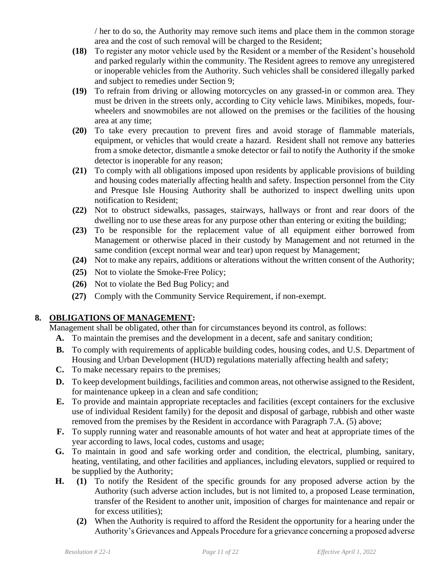/ her to do so, the Authority may remove such items and place them in the common storage area and the cost of such removal will be charged to the Resident;

- **(18)** To register any motor vehicle used by the Resident or a member of the Resident's household and parked regularly within the community. The Resident agrees to remove any unregistered or inoperable vehicles from the Authority. Such vehicles shall be considered illegally parked and subject to remedies under Section 9;
- **(19)** To refrain from driving or allowing motorcycles on any grassed-in or common area. They must be driven in the streets only, according to City vehicle laws. Minibikes, mopeds, fourwheelers and snowmobiles are not allowed on the premises or the facilities of the housing area at any time;
- **(20)** To take every precaution to prevent fires and avoid storage of flammable materials, equipment, or vehicles that would create a hazard. Resident shall not remove any batteries from a smoke detector, dismantle a smoke detector or fail to notify the Authority if the smoke detector is inoperable for any reason;
- **(21)** To comply with all obligations imposed upon residents by applicable provisions of building and housing codes materially affecting health and safety. Inspection personnel from the City and Presque Isle Housing Authority shall be authorized to inspect dwelling units upon notification to Resident;
- **(22)** Not to obstruct sidewalks, passages, stairways, hallways or front and rear doors of the dwelling nor to use these areas for any purpose other than entering or exiting the building;
- **(23)** To be responsible for the replacement value of all equipment either borrowed from Management or otherwise placed in their custody by Management and not returned in the same condition (except normal wear and tear) upon request by Management;
- **(24)** Not to make any repairs, additions or alterations without the written consent of the Authority;
- **(25)** Not to violate the Smoke-Free Policy;
- **(26)** Not to violate the Bed Bug Policy; and
- **(27)** Comply with the Community Service Requirement, if non-exempt.

## **8. OBLIGATIONS OF MANAGEMENT:**

Management shall be obligated, other than for circumstances beyond its control, as follows:

- **A.** To maintain the premises and the development in a decent, safe and sanitary condition;
- **B.** To comply with requirements of applicable building codes, housing codes, and U.S. Department of Housing and Urban Development (HUD) regulations materially affecting health and safety;
- **C.** To make necessary repairs to the premises;
- **D.** To keep development buildings, facilities and common areas, not otherwise assigned to the Resident, for maintenance upkeep in a clean and safe condition;
- **E.** To provide and maintain appropriate receptacles and facilities (except containers for the exclusive use of individual Resident family) for the deposit and disposal of garbage, rubbish and other waste removed from the premises by the Resident in accordance with Paragraph 7.A. (5) above;
- **F.** To supply running water and reasonable amounts of hot water and heat at appropriate times of the year according to laws, local codes, customs and usage;
- **G.** To maintain in good and safe working order and condition, the electrical, plumbing, sanitary, heating, ventilating, and other facilities and appliances, including elevators, supplied or required to be supplied by the Authority;
- **H. (1)** To notify the Resident of the specific grounds for any proposed adverse action by the Authority (such adverse action includes, but is not limited to, a proposed Lease termination, transfer of the Resident to another unit, imposition of charges for maintenance and repair or for excess utilities);
	- **(2)** When the Authority is required to afford the Resident the opportunity for a hearing under the Authority's Grievances and Appeals Procedure for a grievance concerning a proposed adverse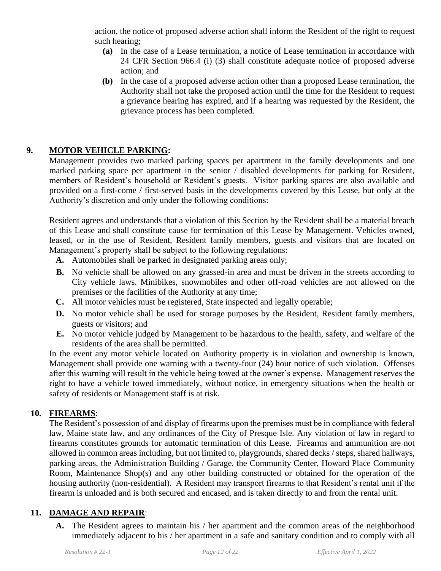action, the notice of proposed adverse action shall inform the Resident of the right to request such hearing;

- **(a)** In the case of a Lease termination, a notice of Lease termination in accordance with 24 CFR Section 966.4 (i) (3) shall constitute adequate notice of proposed adverse action; and
- **(b)** In the case of a proposed adverse action other than a proposed Lease termination, the Authority shall not take the proposed action until the time for the Resident to request a grievance hearing has expired, and if a hearing was requested by the Resident, the grievance process has been completed.

## **9. MOTOR VEHICLE PARKING:**

Management provides two marked parking spaces per apartment in the family developments and one marked parking space per apartment in the senior / disabled developments for parking for Resident, members of Resident's household or Resident's guests. Visitor parking spaces are also available and provided on a first-come / first-served basis in the developments covered by this Lease, but only at the Authority's discretion and only under the following conditions:

Resident agrees and understands that a violation of this Section by the Resident shall be a material breach of this Lease and shall constitute cause for termination of this Lease by Management. Vehicles owned, leased, or in the use of Resident, Resident family members, guests and visitors that are located on Management's property shall be subject to the following regulations:

- **A.** Automobiles shall be parked in designated parking areas only;
- **B.** No vehicle shall be allowed on any grassed-in area and must be driven in the streets according to City vehicle laws. Minibikes, snowmobiles and other off-road vehicles are not allowed on the premises or the facilities of the Authority at any time;
- **C.** All motor vehicles must be registered, State inspected and legally operable;
- **D.** No motor vehicle shall be used for storage purposes by the Resident, Resident family members, guests or visitors; and
- **E.** No motor vehicle judged by Management to be hazardous to the health, safety, and welfare of the residents of the area shall be permitted.

In the event any motor vehicle located on Authority property is in violation and ownership is known, Management shall provide one warning with a twenty-four (24) hour notice of such violation. Offenses after this warning will result in the vehicle being towed at the owner's expense. Management reserves the right to have a vehicle towed immediately, without notice, in emergency situations when the health or safety of residents or Management staff is at risk.

#### **10. FIREARMS**:

The Resident's possession of and display of firearms upon the premises must be in compliance with federal law, Maine state law, and any ordinances of the City of Presque Isle. Any violation of law in regard to firearms constitutes grounds for automatic termination of this Lease. Firearms and ammunition are not allowed in common areas including, but not limited to, playgrounds, shared decks / steps, shared hallways, parking areas, the Administration Building / Garage, the Community Center, Howard Place Community Room, Maintenance Shop(s) and any other building constructed or obtained for the operation of the housing authority (non-residential). A Resident may transport firearms to that Resident's rental unit if the firearm is unloaded and is both secured and encased, and is taken directly to and from the rental unit.

### **11. DAMAGE AND REPAIR**:

**A.** The Resident agrees to maintain his / her apartment and the common areas of the neighborhood immediately adjacent to his / her apartment in a safe and sanitary condition and to comply with all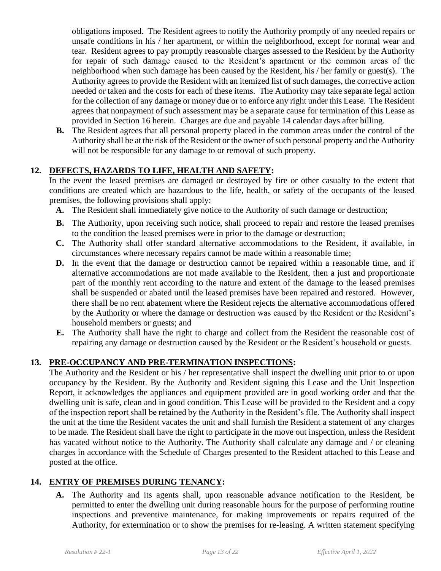obligations imposed. The Resident agrees to notify the Authority promptly of any needed repairs or unsafe conditions in his / her apartment, or within the neighborhood, except for normal wear and tear. Resident agrees to pay promptly reasonable charges assessed to the Resident by the Authority for repair of such damage caused to the Resident's apartment or the common areas of the neighborhood when such damage has been caused by the Resident, his / her family or guest(s). The Authority agrees to provide the Resident with an itemized list of such damages, the corrective action needed or taken and the costs for each of these items. The Authority may take separate legal action for the collection of any damage or money due or to enforce any right under this Lease. The Resident agrees that nonpayment of such assessment may be a separate cause for termination of this Lease as provided in Section 16 herein. Charges are due and payable 14 calendar days after billing.

**B.** The Resident agrees that all personal property placed in the common areas under the control of the Authority shall be at the risk of the Resident or the owner of such personal property and the Authority will not be responsible for any damage to or removal of such property.

### **12. DEFECTS, HAZARDS TO LIFE, HEALTH AND SAFETY:**

In the event the leased premises are damaged or destroyed by fire or other casualty to the extent that conditions are created which are hazardous to the life, health, or safety of the occupants of the leased premises, the following provisions shall apply:

- **A.** The Resident shall immediately give notice to the Authority of such damage or destruction;
- **B.** The Authority, upon receiving such notice, shall proceed to repair and restore the leased premises to the condition the leased premises were in prior to the damage or destruction;
- **C.** The Authority shall offer standard alternative accommodations to the Resident, if available, in circumstances where necessary repairs cannot be made within a reasonable time;
- **D.** In the event that the damage or destruction cannot be repaired within a reasonable time, and if alternative accommodations are not made available to the Resident, then a just and proportionate part of the monthly rent according to the nature and extent of the damage to the leased premises shall be suspended or abated until the leased premises have been repaired and restored. However, there shall be no rent abatement where the Resident rejects the alternative accommodations offered by the Authority or where the damage or destruction was caused by the Resident or the Resident's household members or guests; and
- **E.** The Authority shall have the right to charge and collect from the Resident the reasonable cost of repairing any damage or destruction caused by the Resident or the Resident's household or guests.

### **13. PRE-OCCUPANCY AND PRE-TERMINATION INSPECTIONS:**

The Authority and the Resident or his / her representative shall inspect the dwelling unit prior to or upon occupancy by the Resident. By the Authority and Resident signing this Lease and the Unit Inspection Report, it acknowledges the appliances and equipment provided are in good working order and that the dwelling unit is safe, clean and in good condition. This Lease will be provided to the Resident and a copy of the inspection report shall be retained by the Authority in the Resident's file. The Authority shall inspect the unit at the time the Resident vacates the unit and shall furnish the Resident a statement of any charges to be made. The Resident shall have the right to participate in the move out inspection, unless the Resident has vacated without notice to the Authority. The Authority shall calculate any damage and / or cleaning charges in accordance with the Schedule of Charges presented to the Resident attached to this Lease and posted at the office.

### **14. ENTRY OF PREMISES DURING TENANCY:**

**A.** The Authority and its agents shall, upon reasonable advance notification to the Resident, be permitted to enter the dwelling unit during reasonable hours for the purpose of performing routine inspections and preventive maintenance, for making improvements or repairs required of the Authority, for extermination or to show the premises for re-leasing. A written statement specifying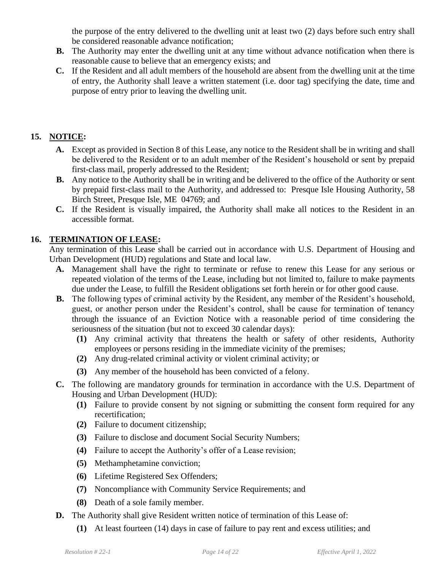the purpose of the entry delivered to the dwelling unit at least two (2) days before such entry shall be considered reasonable advance notification;

- **B.** The Authority may enter the dwelling unit at any time without advance notification when there is reasonable cause to believe that an emergency exists; and
- **C.** If the Resident and all adult members of the household are absent from the dwelling unit at the time of entry, the Authority shall leave a written statement (i.e. door tag) specifying the date, time and purpose of entry prior to leaving the dwelling unit.

## **15. NOTICE:**

- **A.** Except as provided in Section 8 of this Lease, any notice to the Resident shall be in writing and shall be delivered to the Resident or to an adult member of the Resident's household or sent by prepaid first-class mail, properly addressed to the Resident;
- **B.** Any notice to the Authority shall be in writing and be delivered to the office of the Authority or sent by prepaid first-class mail to the Authority, and addressed to: Presque Isle Housing Authority, 58 Birch Street, Presque Isle, ME 04769; and
- **C.** If the Resident is visually impaired, the Authority shall make all notices to the Resident in an accessible format.

## **16. TERMINATION OF LEASE:**

Any termination of this Lease shall be carried out in accordance with U.S. Department of Housing and Urban Development (HUD) regulations and State and local law.

- **A.** Management shall have the right to terminate or refuse to renew this Lease for any serious or repeated violation of the terms of the Lease, including but not limited to, failure to make payments due under the Lease, to fulfill the Resident obligations set forth herein or for other good cause.
- **B.** The following types of criminal activity by the Resident, any member of the Resident's household, guest, or another person under the Resident's control, shall be cause for termination of tenancy through the issuance of an Eviction Notice with a reasonable period of time considering the seriousness of the situation (but not to exceed 30 calendar days):
	- **(1)** Any criminal activity that threatens the health or safety of other residents, Authority employees or persons residing in the immediate vicinity of the premises;
	- **(2)** Any drug-related criminal activity or violent criminal activity; or
	- **(3)** Any member of the household has been convicted of a felony.
- **C.** The following are mandatory grounds for termination in accordance with the U.S. Department of Housing and Urban Development (HUD):
	- **(1)** Failure to provide consent by not signing or submitting the consent form required for any recertification;
	- **(2)** Failure to document citizenship;
	- **(3)** Failure to disclose and document Social Security Numbers;
	- **(4)** Failure to accept the Authority's offer of a Lease revision;
	- **(5)** Methamphetamine conviction;
	- **(6)** Lifetime Registered Sex Offenders;
	- **(7)** Noncompliance with Community Service Requirements; and
	- **(8)** Death of a sole family member.
- **D.** The Authority shall give Resident written notice of termination of this Lease of:
	- **(1)** At least fourteen (14) days in case of failure to pay rent and excess utilities; and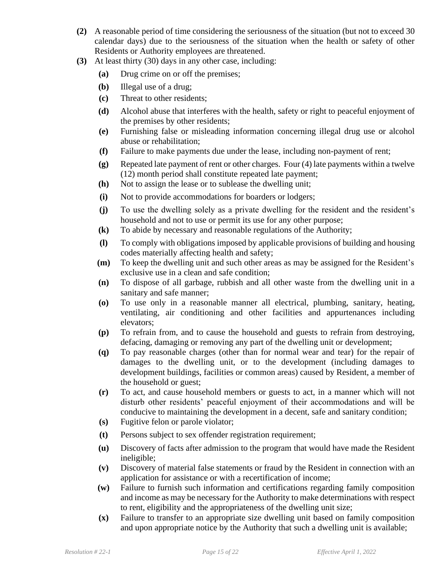- **(2)** A reasonable period of time considering the seriousness of the situation (but not to exceed 30 calendar days) due to the seriousness of the situation when the health or safety of other Residents or Authority employees are threatened.
- **(3)** At least thirty (30) days in any other case, including:
	- **(a)** Drug crime on or off the premises;
	- **(b)** Illegal use of a drug;
	- **(c)** Threat to other residents;
	- **(d)** Alcohol abuse that interferes with the health, safety or right to peaceful enjoyment of the premises by other residents;
	- **(e)** Furnishing false or misleading information concerning illegal drug use or alcohol abuse or rehabilitation;
	- **(f)** Failure to make payments due under the lease, including non-payment of rent;
	- **(g)** Repeated late payment of rent or other charges. Four (4) late payments within a twelve (12) month period shall constitute repeated late payment;
	- **(h)** Not to assign the lease or to sublease the dwelling unit;
	- **(i)** Not to provide accommodations for boarders or lodgers;
	- **(j)** To use the dwelling solely as a private dwelling for the resident and the resident's household and not to use or permit its use for any other purpose;
	- **(k)** To abide by necessary and reasonable regulations of the Authority;
	- **(l)** To comply with obligations imposed by applicable provisions of building and housing codes materially affecting health and safety;
	- **(m)** To keep the dwelling unit and such other areas as may be assigned for the Resident's exclusive use in a clean and safe condition;
	- **(n)** To dispose of all garbage, rubbish and all other waste from the dwelling unit in a sanitary and safe manner;
	- **(o)** To use only in a reasonable manner all electrical, plumbing, sanitary, heating, ventilating, air conditioning and other facilities and appurtenances including elevators;
	- **(p)** To refrain from, and to cause the household and guests to refrain from destroying, defacing, damaging or removing any part of the dwelling unit or development;
	- **(q)** To pay reasonable charges (other than for normal wear and tear) for the repair of damages to the dwelling unit, or to the development (including damages to development buildings, facilities or common areas) caused by Resident, a member of the household or guest;
	- **(r)** To act, and cause household members or guests to act, in a manner which will not disturb other residents' peaceful enjoyment of their accommodations and will be conducive to maintaining the development in a decent, safe and sanitary condition;
	- **(s)** Fugitive felon or parole violator;
	- **(t)** Persons subject to sex offender registration requirement;
	- **(u)** Discovery of facts after admission to the program that would have made the Resident ineligible;
	- **(v)** Discovery of material false statements or fraud by the Resident in connection with an application for assistance or with a recertification of income;
	- **(w)** Failure to furnish such information and certifications regarding family composition and income as may be necessary for the Authority to make determinations with respect to rent, eligibility and the appropriateness of the dwelling unit size;
	- **(x)** Failure to transfer to an appropriate size dwelling unit based on family composition and upon appropriate notice by the Authority that such a dwelling unit is available;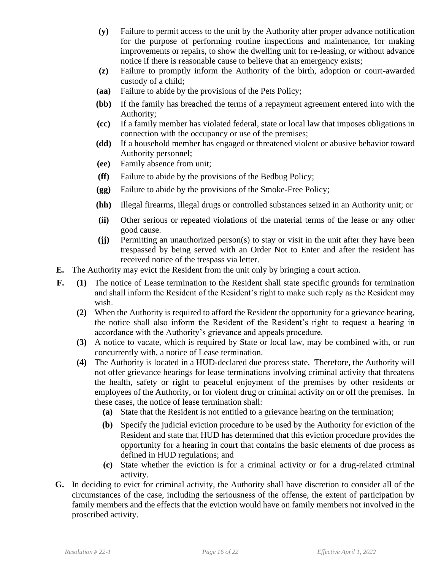- **(y)** Failure to permit access to the unit by the Authority after proper advance notification for the purpose of performing routine inspections and maintenance, for making improvements or repairs, to show the dwelling unit for re-leasing, or without advance notice if there is reasonable cause to believe that an emergency exists;
- **(z)** Failure to promptly inform the Authority of the birth, adoption or court-awarded custody of a child;
- **(aa)** Failure to abide by the provisions of the Pets Policy;
- **(bb)** If the family has breached the terms of a repayment agreement entered into with the Authority;
- **(cc)** If a family member has violated federal, state or local law that imposes obligations in connection with the occupancy or use of the premises;
- **(dd)** If a household member has engaged or threatened violent or abusive behavior toward Authority personnel;
- **(ee)** Family absence from unit;
- **(ff)** Failure to abide by the provisions of the Bedbug Policy;
- **(gg)** Failure to abide by the provisions of the Smoke-Free Policy;
- **(hh)** Illegal firearms, illegal drugs or controlled substances seized in an Authority unit; or
- **(ii)** Other serious or repeated violations of the material terms of the lease or any other good cause.
- **(jj)** Permitting an unauthorized person(s) to stay or visit in the unit after they have been trespassed by being served with an Order Not to Enter and after the resident has received notice of the trespass via letter.
- **E.** The Authority may evict the Resident from the unit only by bringing a court action.
- **F. (1)** The notice of Lease termination to the Resident shall state specific grounds for termination and shall inform the Resident of the Resident's right to make such reply as the Resident may wish.
	- **(2)** When the Authority is required to afford the Resident the opportunity for a grievance hearing, the notice shall also inform the Resident of the Resident's right to request a hearing in accordance with the Authority's grievance and appeals procedure.
	- **(3)** A notice to vacate, which is required by State or local law, may be combined with, or run concurrently with, a notice of Lease termination.
	- **(4)** The Authority is located in a HUD-declared due process state. Therefore, the Authority will not offer grievance hearings for lease terminations involving criminal activity that threatens the health, safety or right to peaceful enjoyment of the premises by other residents or employees of the Authority, or for violent drug or criminal activity on or off the premises. In these cases, the notice of lease termination shall:
		- **(a)** State that the Resident is not entitled to a grievance hearing on the termination;
		- **(b)** Specify the judicial eviction procedure to be used by the Authority for eviction of the Resident and state that HUD has determined that this eviction procedure provides the opportunity for a hearing in court that contains the basic elements of due process as defined in HUD regulations; and
		- **(c)** State whether the eviction is for a criminal activity or for a drug-related criminal activity.
- **G.** In deciding to evict for criminal activity, the Authority shall have discretion to consider all of the circumstances of the case, including the seriousness of the offense, the extent of participation by family members and the effects that the eviction would have on family members not involved in the proscribed activity.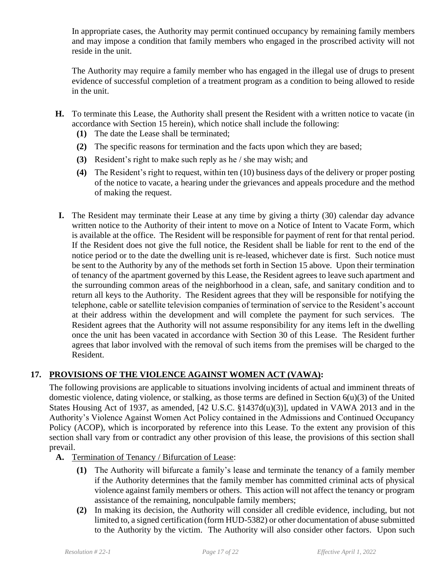In appropriate cases, the Authority may permit continued occupancy by remaining family members and may impose a condition that family members who engaged in the proscribed activity will not reside in the unit.

The Authority may require a family member who has engaged in the illegal use of drugs to present evidence of successful completion of a treatment program as a condition to being allowed to reside in the unit.

- **H.** To terminate this Lease, the Authority shall present the Resident with a written notice to vacate (in accordance with Section 15 herein), which notice shall include the following:
	- **(1)** The date the Lease shall be terminated;
	- **(2)** The specific reasons for termination and the facts upon which they are based;
	- **(3)** Resident's right to make such reply as he / she may wish; and
	- **(4)** The Resident's right to request, within ten (10) business days of the delivery or proper posting of the notice to vacate, a hearing under the grievances and appeals procedure and the method of making the request.
- **I.** The Resident may terminate their Lease at any time by giving a thirty (30) calendar day advance written notice to the Authority of their intent to move on a Notice of Intent to Vacate Form, which is available at the office. The Resident will be responsible for payment of rent for that rental period. If the Resident does not give the full notice, the Resident shall be liable for rent to the end of the notice period or to the date the dwelling unit is re-leased, whichever date is first. Such notice must be sent to the Authority by any of the methods set forth in Section 15 above. Upon their termination of tenancy of the apartment governed by this Lease, the Resident agrees to leave such apartment and the surrounding common areas of the neighborhood in a clean, safe, and sanitary condition and to return all keys to the Authority. The Resident agrees that they will be responsible for notifying the telephone, cable or satellite television companies of termination of service to the Resident's account at their address within the development and will complete the payment for such services. The Resident agrees that the Authority will not assume responsibility for any items left in the dwelling once the unit has been vacated in accordance with Section 30 of this Lease. The Resident further agrees that labor involved with the removal of such items from the premises will be charged to the Resident.

## **17. PROVISIONS OF THE VIOLENCE AGAINST WOMEN ACT (VAWA):**

The following provisions are applicable to situations involving incidents of actual and imminent threats of domestic violence, dating violence, or stalking, as those terms are defined in Section 6(u)(3) of the United States Housing Act of 1937, as amended, [42 U.S.C. §1437d(u)(3)], updated in VAWA 2013 and in the Authority's Violence Against Women Act Policy contained in the Admissions and Continued Occupancy Policy (ACOP), which is incorporated by reference into this Lease. To the extent any provision of this section shall vary from or contradict any other provision of this lease, the provisions of this section shall prevail.

- **A.** Termination of Tenancy / Bifurcation of Lease:
	- **(1)** The Authority will bifurcate a family's lease and terminate the tenancy of a family member if the Authority determines that the family member has committed criminal acts of physical violence against family members or others. This action will not affect the tenancy or program assistance of the remaining, nonculpable family members;
	- **(2)** In making its decision, the Authority will consider all credible evidence, including, but not limited to, a signed certification (form HUD-5382) or other documentation of abuse submitted to the Authority by the victim. The Authority will also consider other factors. Upon such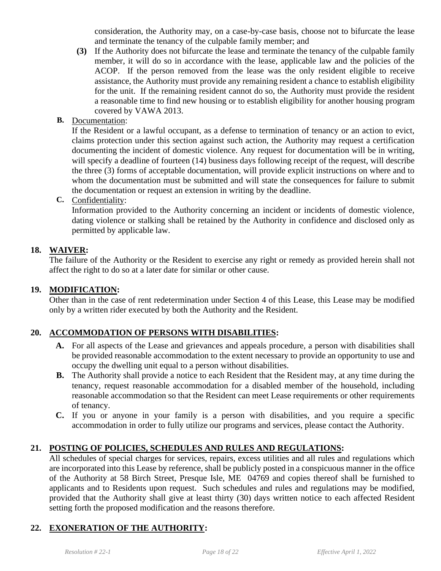consideration, the Authority may, on a case-by-case basis, choose not to bifurcate the lease and terminate the tenancy of the culpable family member; and

- **(3)** If the Authority does not bifurcate the lease and terminate the tenancy of the culpable family member, it will do so in accordance with the lease, applicable law and the policies of the ACOP. If the person removed from the lease was the only resident eligible to receive assistance, the Authority must provide any remaining resident a chance to establish eligibility for the unit. If the remaining resident cannot do so, the Authority must provide the resident a reasonable time to find new housing or to establish eligibility for another housing program covered by VAWA 2013.
- **B.** Documentation:

If the Resident or a lawful occupant, as a defense to termination of tenancy or an action to evict, claims protection under this section against such action, the Authority may request a certification documenting the incident of domestic violence. Any request for documentation will be in writing, will specify a deadline of fourteen (14) business days following receipt of the request, will describe the three (3) forms of acceptable documentation, will provide explicit instructions on where and to whom the documentation must be submitted and will state the consequences for failure to submit the documentation or request an extension in writing by the deadline.

**C.** Confidentiality:

Information provided to the Authority concerning an incident or incidents of domestic violence, dating violence or stalking shall be retained by the Authority in confidence and disclosed only as permitted by applicable law.

### **18. WAIVER:**

The failure of the Authority or the Resident to exercise any right or remedy as provided herein shall not affect the right to do so at a later date for similar or other cause.

### **19. MODIFICATION:**

Other than in the case of rent redetermination under Section 4 of this Lease, this Lease may be modified only by a written rider executed by both the Authority and the Resident.

## **20. ACCOMMODATION OF PERSONS WITH DISABILITIES:**

- **A.** For all aspects of the Lease and grievances and appeals procedure, a person with disabilities shall be provided reasonable accommodation to the extent necessary to provide an opportunity to use and occupy the dwelling unit equal to a person without disabilities.
- **B.** The Authority shall provide a notice to each Resident that the Resident may, at any time during the tenancy, request reasonable accommodation for a disabled member of the household, including reasonable accommodation so that the Resident can meet Lease requirements or other requirements of tenancy.
- **C.** If you or anyone in your family is a person with disabilities, and you require a specific accommodation in order to fully utilize our programs and services, please contact the Authority.

### **21. POSTING OF POLICIES, SCHEDULES AND RULES AND REGULATIONS:**

All schedules of special charges for services, repairs, excess utilities and all rules and regulations which are incorporated into this Lease by reference, shall be publicly posted in a conspicuous manner in the office of the Authority at 58 Birch Street, Presque Isle, ME 04769 and copies thereof shall be furnished to applicants and to Residents upon request. Such schedules and rules and regulations may be modified, provided that the Authority shall give at least thirty (30) days written notice to each affected Resident setting forth the proposed modification and the reasons therefore.

## **22. EXONERATION OF THE AUTHORITY:**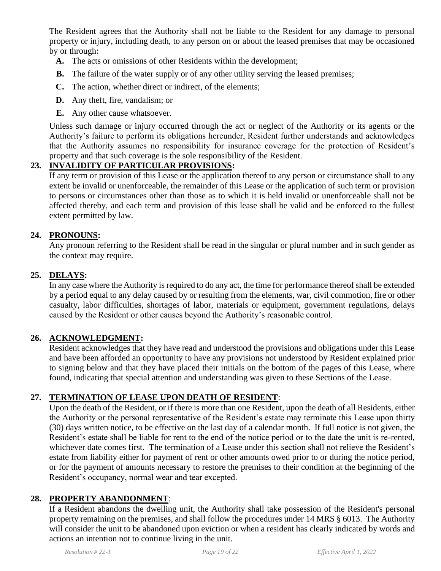The Resident agrees that the Authority shall not be liable to the Resident for any damage to personal property or injury, including death, to any person on or about the leased premises that may be occasioned by or through:

- **A.** The acts or omissions of other Residents within the development;
- **B.** The failure of the water supply or of any other utility serving the leased premises;
- **C.** The action, whether direct or indirect, of the elements;
- **D.** Any theft, fire, vandalism; or
- **E.** Any other cause whatsoever.

Unless such damage or injury occurred through the act or neglect of the Authority or its agents or the Authority's failure to perform its obligations hereunder, Resident further understands and acknowledges that the Authority assumes no responsibility for insurance coverage for the protection of Resident's property and that such coverage is the sole responsibility of the Resident.

### **23. INVALIDITY OF PARTICULAR PROVISIONS:**

If any term or provision of this Lease or the application thereof to any person or circumstance shall to any extent be invalid or unenforceable, the remainder of this Lease or the application of such term or provision to persons or circumstances other than those as to which it is held invalid or unenforceable shall not be affected thereby, and each term and provision of this lease shall be valid and be enforced to the fullest extent permitted by law.

### **24. PRONOUNS:**

Any pronoun referring to the Resident shall be read in the singular or plural number and in such gender as the context may require.

#### **25. DELAYS:**

In any case where the Authority is required to do any act, the time for performance thereof shall be extended by a period equal to any delay caused by or resulting from the elements, war, civil commotion, fire or other casualty, labor difficulties, shortages of labor, materials or equipment, government regulations, delays caused by the Resident or other causes beyond the Authority's reasonable control.

### **26. ACKNOWLEDGMENT:**

Resident acknowledges that they have read and understood the provisions and obligations under this Lease and have been afforded an opportunity to have any provisions not understood by Resident explained prior to signing below and that they have placed their initials on the bottom of the pages of this Lease, where found, indicating that special attention and understanding was given to these Sections of the Lease.

### **27. TERMINATION OF LEASE UPON DEATH OF RESIDENT**:

Upon the death of the Resident, or if there is more than one Resident, upon the death of all Residents, either the Authority or the personal representative of the Resident's estate may terminate this Lease upon thirty (30) days written notice, to be effective on the last day of a calendar month. If full notice is not given, the Resident's estate shall be liable for rent to the end of the notice period or to the date the unit is re-rented, whichever date comes first. The termination of a Lease under this section shall not relieve the Resident's estate from liability either for payment of rent or other amounts owed prior to or during the notice period, or for the payment of amounts necessary to restore the premises to their condition at the beginning of the Resident's occupancy, normal wear and tear excepted.

#### **28. PROPERTY ABANDONMENT**:

If a Resident abandons the dwelling unit, the Authority shall take possession of the Resident's personal property remaining on the premises, and shall follow the procedures under 14 MRS § 6013. The Authority will consider the unit to be abandoned upon eviction or when a resident has clearly indicated by words and actions an intention not to continue living in the unit.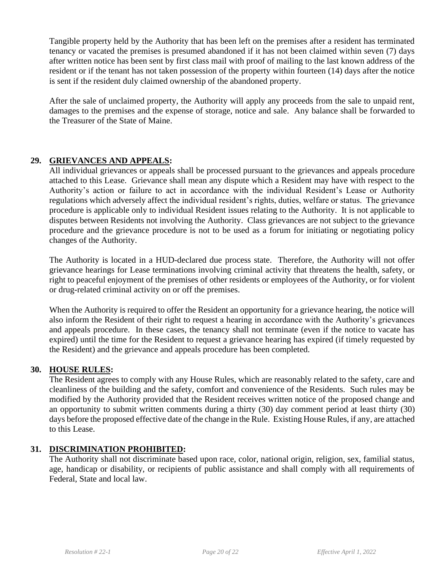Tangible property held by the Authority that has been left on the premises after a resident has terminated tenancy or vacated the premises is presumed abandoned if it has not been claimed within seven (7) days after written notice has been sent by first class mail with proof of mailing to the last known address of the resident or if the tenant has not taken possession of the property within fourteen (14) days after the notice is sent if the resident duly claimed ownership of the abandoned property.

After the sale of unclaimed property, the Authority will apply any proceeds from the sale to unpaid rent, damages to the premises and the expense of storage, notice and sale. Any balance shall be forwarded to the Treasurer of the State of Maine.

### **29. GRIEVANCES AND APPEALS:**

All individual grievances or appeals shall be processed pursuant to the grievances and appeals procedure attached to this Lease. Grievance shall mean any dispute which a Resident may have with respect to the Authority's action or failure to act in accordance with the individual Resident's Lease or Authority regulations which adversely affect the individual resident's rights, duties, welfare or status. The grievance procedure is applicable only to individual Resident issues relating to the Authority. It is not applicable to disputes between Residents not involving the Authority. Class grievances are not subject to the grievance procedure and the grievance procedure is not to be used as a forum for initiating or negotiating policy changes of the Authority.

The Authority is located in a HUD-declared due process state. Therefore, the Authority will not offer grievance hearings for Lease terminations involving criminal activity that threatens the health, safety, or right to peaceful enjoyment of the premises of other residents or employees of the Authority, or for violent or drug-related criminal activity on or off the premises.

When the Authority is required to offer the Resident an opportunity for a grievance hearing, the notice will also inform the Resident of their right to request a hearing in accordance with the Authority's grievances and appeals procedure. In these cases, the tenancy shall not terminate (even if the notice to vacate has expired) until the time for the Resident to request a grievance hearing has expired (if timely requested by the Resident) and the grievance and appeals procedure has been completed.

#### **30. HOUSE RULES:**

The Resident agrees to comply with any House Rules, which are reasonably related to the safety, care and cleanliness of the building and the safety, comfort and convenience of the Residents. Such rules may be modified by the Authority provided that the Resident receives written notice of the proposed change and an opportunity to submit written comments during a thirty (30) day comment period at least thirty (30) days before the proposed effective date of the change in the Rule. Existing House Rules, if any, are attached to this Lease.

#### **31. DISCRIMINATION PROHIBITED:**

The Authority shall not discriminate based upon race, color, national origin, religion, sex, familial status, age, handicap or disability, or recipients of public assistance and shall comply with all requirements of Federal, State and local law.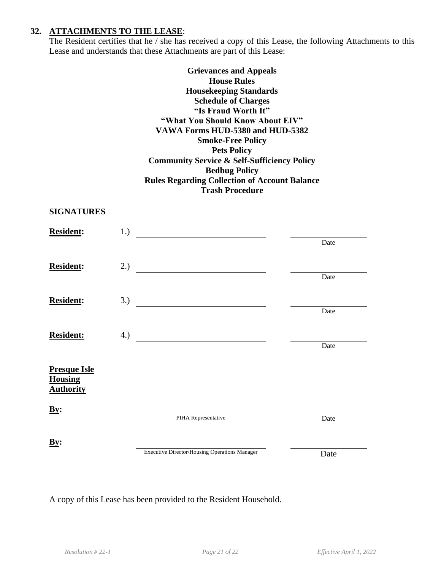#### **32. ATTACHMENTS TO THE LEASE**:

The Resident certifies that he / she has received a copy of this Lease, the following Attachments to this Lease and understands that these Attachments are part of this Lease:

> **Grievances and Appeals House Rules Housekeeping Standards Schedule of Charges "Is Fraud Worth It" "What You Should Know About EIV" VAWA Forms HUD-5380 and HUD-5382 Smoke-Free Policy Pets Policy Community Service & Self-Sufficiency Policy Bedbug Policy Rules Regarding Collection of Account Balance Trash Procedure**

#### **SIGNATURES**

| <b>Resident:</b>                      | 1.) |                                               |      |
|---------------------------------------|-----|-----------------------------------------------|------|
|                                       |     |                                               | Date |
| <b>Resident:</b>                      | 2.) |                                               |      |
|                                       |     |                                               | Date |
| <b>Resident:</b>                      | 3.) |                                               |      |
|                                       |     |                                               | Date |
| <b>Resident:</b>                      | 4.) |                                               |      |
|                                       |     |                                               | Date |
| <b>Presque Isle</b><br><b>Housing</b> |     |                                               |      |
| <b>Authority</b>                      |     |                                               |      |
| $\underline{By}$ :                    |     |                                               |      |
|                                       |     | PIHA Representative                           | Date |
| $\underline{By}$ :                    |     |                                               |      |
|                                       |     | Executive Director/Housing Operations Manager | Date |

A copy of this Lease has been provided to the Resident Household.